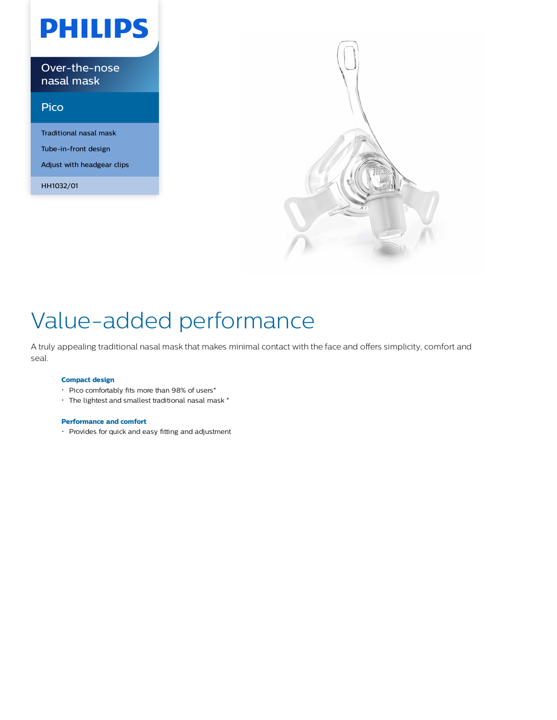# **PHILIPS**

Over-the-nose nasal mask

### Pico

Traditional nasal mask Tube-in-front design Adjust with headgear clips

HH1032/01



## Value-added performance

A truly appealing traditional nasal mask that makes minimal contact with the face and offers simplicity, comfort and seal.

#### **Compact design**

- Pico comfortably fits more than 98% of users\*
- The lightest and smallest traditional nasal mask \*

#### **Performance and comfort**

Provides for quick and easy fitting and adjustment